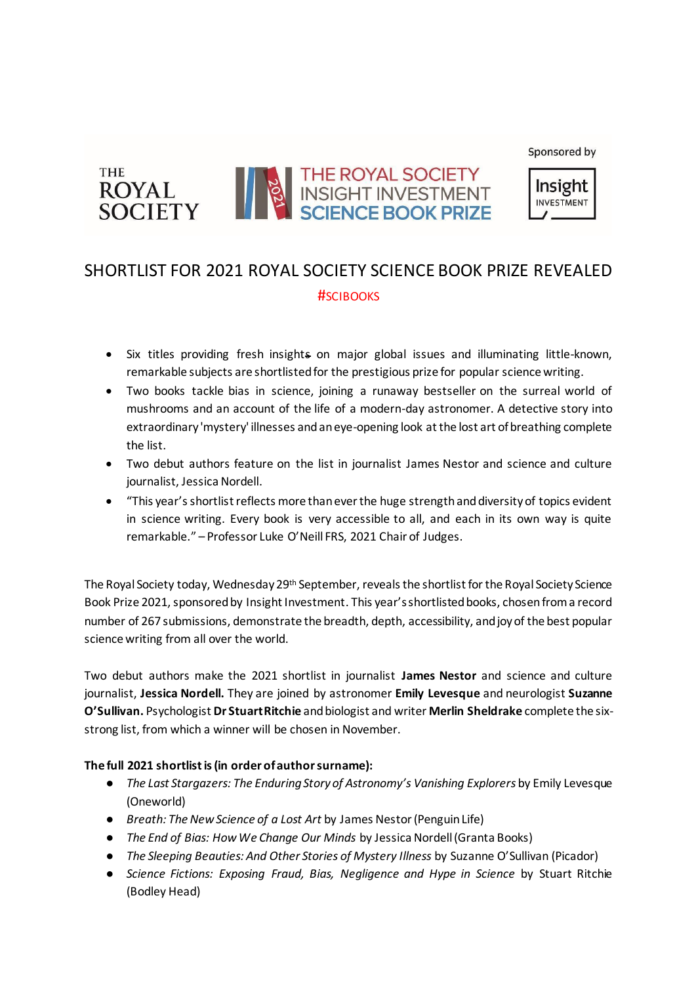#### Sponsored by





# SHORTLIST FOR 2021 ROYAL SOCIETY SCIENCE BOOK PRIZE REVEALED #SCIBOOKS

- Six titles providing fresh insights on major global issues and illuminating little-known, remarkable subjects are shortlisted for the prestigious prize for popular science writing.
- Two books tackle bias in science, joining a runaway bestseller on the surreal world of mushrooms and an account of the life of a modern-day astronomer. A detective story into extraordinary 'mystery' illnesses and an eye-opening look at the lost art of breathing complete the list.
- Two debut authors feature on the list in journalist James Nestor and science and culture journalist, Jessica Nordell.
- "This year's shortlist reflects more than ever the huge strength and diversity of topics evident in science writing. Every book is very accessible to all, and each in its own way is quite remarkable." – Professor Luke O'Neill FRS, 2021 Chair of Judges.

The Royal Society today, Wednesday 29<sup>th</sup> September, reveals the shortlist for the Royal Society Science Book Prize 2021, sponsored by Insight Investment. This year's shortlisted books, chosen from a record number of 267 submissions, demonstrate the breadth, depth, accessibility, and joy of the best popular science writing from all over the world.

Two debut authors make the 2021 shortlist in journalist **James Nestor** and science and culture journalist, **Jessica Nordell.** They are joined by astronomer **Emily Levesque** and neurologist **Suzanne O'Sullivan.** Psychologist **Dr Stuart Ritchie** and biologist and writer **Merlin Sheldrake** complete the sixstrong list, from which a winner will be chosen in November.

#### **The full 2021 shortlist is (in order of author surname):**

- *The Last Stargazers: The Enduring Story of Astronomy's Vanishing Explorers* by Emily Levesque (Oneworld)
- *Breath: The New Science of a Lost Art* by James Nestor (Penguin Life)
- *The End of Bias: How We Change Our Minds* by Jessica Nordell (Granta Books)
- **•** *The Sleeping Beauties: And Other Stories of Mystery Illness by Suzanne O'Sullivan (Picador)*
- *Science Fictions: Exposing Fraud, Bias, Negligence and Hype in Science* by Stuart Ritchie (Bodley Head)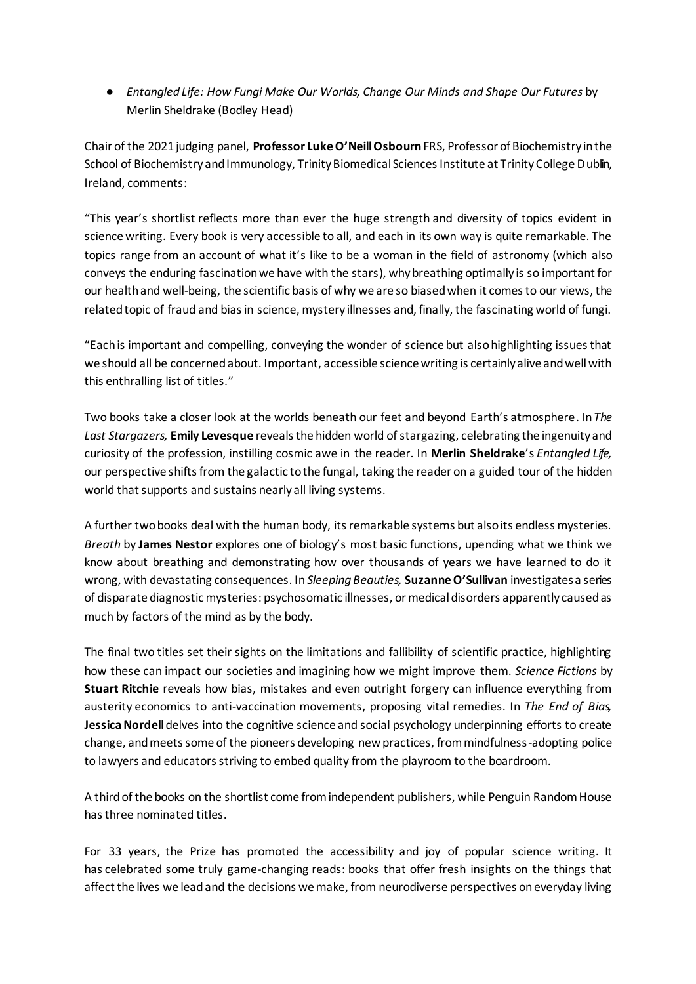● *Entangled Life: How Fungi Make Our Worlds, Change Our Minds and Shape Our Futures* by Merlin Sheldrake (Bodley Head)

Chair of the 2021 judging panel, **Professor Luke O'Neill Osbourn** FRS, Professor of Biochemistry in the School of Biochemistry and Immunology, Trinity Biomedical Sciences Institute at Trinity College Dublin, Ireland, comments:

"This year's shortlist reflects more than ever the huge strength and diversity of topics evident in science writing. Every book is very accessible to all, and each in its own way is quite remarkable. The topics range from an account of what it's like to be a woman in the field of astronomy (which also conveys the enduring fascination we have with the stars), why breathing optimally is so important for our health and well-being, the scientific basis of why we are so biased when it comes to our views, the related topic of fraud and bias in science, mystery illnesses and, finally, the fascinating world of fungi.

"Each is important and compelling, conveying the wonder of science but also highlighting issues that we should all be concerned about. Important, accessible science writing is certainly alive and well with this enthralling list of titles."

Two books take a closer look at the worlds beneath our feet and beyond Earth's atmosphere. In *The Last Stargazers,* **Emily Levesque** reveals the hidden world of stargazing, celebrating the ingenuity and curiosity of the profession, instilling cosmic awe in the reader. In **Merlin Sheldrake**'s *Entangled Life,*  our perspective shifts from the galactic to the fungal, taking the reader on a guided tour of the hidden world that supports and sustains nearly all living systems.

A further two books deal with the human body, its remarkable systems but also its endless mysteries. *Breath* by **James Nestor** explores one of biology's most basic functions, upending what we think we know about breathing and demonstrating how over thousands of years we have learned to do it wrong, with devastating consequences. In *Sleeping Beauties,* **Suzanne O'Sullivan** investigates a series of disparate diagnostic mysteries: psychosomatic illnesses, or medical disorders apparently caused as much by factors of the mind as by the body.

The final two titles set their sights on the limitations and fallibility of scientific practice, highlighting how these can impact our societies and imagining how we might improve them. *Science Fictions* by **Stuart Ritchie** reveals how bias, mistakes and even outright forgery can influence everything from austerity economics to anti-vaccination movements, proposing vital remedies. In *The End of Bias,*  **Jessica Nordell** delves into the cognitive science and social psychology underpinning efforts to create change, and meets some of the pioneers developing new practices, from mindfulness-adopting police to lawyers and educators striving to embed quality from the playroom to the boardroom.

A thirdof the books on the shortlist come from independent publishers, while Penguin Random House has three nominated titles.

For 33 years, the Prize has promoted the accessibility and joy of popular science writing. It has celebrated some truly game-changing reads: books that offer fresh insights on the things that affect the lives we lead and the decisions we make, from neurodiverse perspectives on everyday living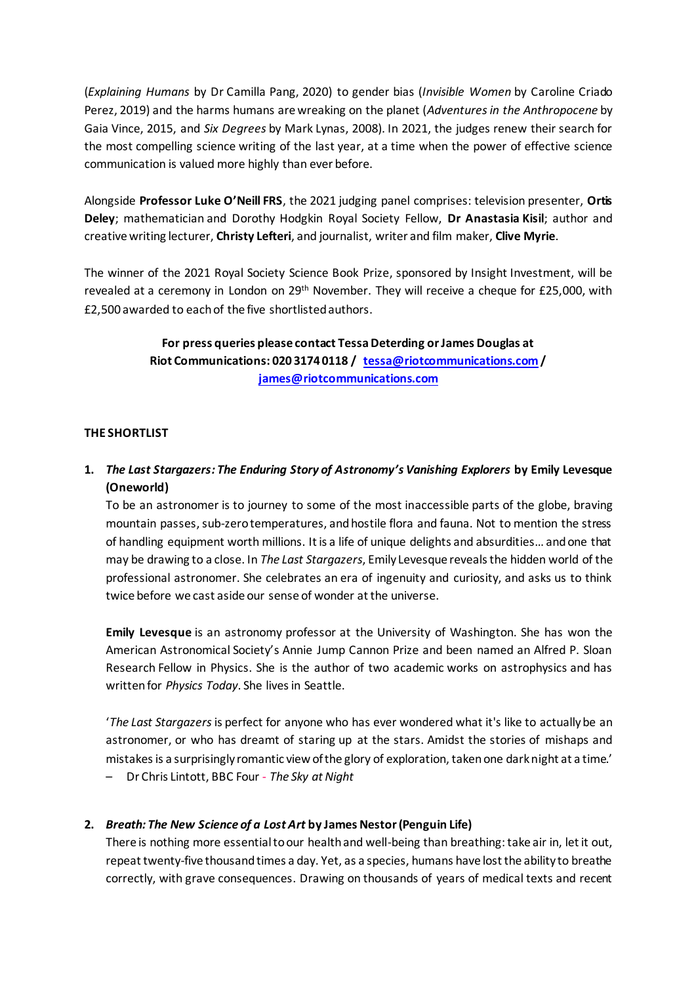(*Explaining Humans* by Dr Camilla Pang, 2020) to gender bias (*Invisible Women* by Caroline Criado Perez, 2019) and the harms humans are wreaking on the planet (*Adventures in the Anthropocene* by Gaia Vince, 2015, and *Six Degrees* by Mark Lynas, 2008). In 2021, the judges renew their search for the most compelling science writing of the last year, at a time when the power of effective science communication is valued more highly than ever before.

Alongside **Professor Luke O'Neill FRS**, the 2021 judging panel comprises: television presenter, **Ortis Deley**; mathematician and Dorothy Hodgkin Royal Society Fellow, **Dr Anastasia Kisil**; author and creative writing lecturer, **Christy Lefteri**, and journalist, writer and film maker, **Clive Myrie**.

The winner of the 2021 Royal Society Science Book Prize, sponsored by Insight Investment, will be revealed at a ceremony in London on 29<sup>th</sup> November. They will receive a cheque for £25,000, with £2,500 awarded to each of the five shortlisted authors.

> **For press queries please contact Tessa Deterding or James Douglas at Riot Communications: 020 3174 0118 / [tessa@riotcommunications.com](mailto:tessa@riotcommunications.com) / [james@riotcommunications.com](mailto:james@riotcommunications.com)**

#### **THE SHORTLIST**

## **1.** *The Last Stargazers: The Enduring Story of Astronomy's Vanishing Explorers* **by Emily Levesque (Oneworld)**

To be an astronomer is to journey to some of the most inaccessible parts of the globe, braving mountain passes, sub-zero temperatures, and hostile flora and fauna. Not to mention the stress of handling equipment worth millions. It is a life of unique delights and absurdities… and one that may be drawing to a close. In *The Last Stargazers*, Emily Levesque reveals the hidden world of the professional astronomer. She celebrates an era of ingenuity and curiosity, and asks us to think twice before we cast aside our sense of wonder at the universe.

**Emily Levesque** is an astronomy professor at the University of Washington. She has won the American Astronomical Society's Annie Jump Cannon Prize and been named an Alfred P. Sloan Research Fellow in Physics. She is the author of two academic works on astrophysics and has written for *Physics Today*. She lives in Seattle.

'*The Last Stargazers* is perfect for anyone who has ever wondered what it's like to actually be an astronomer, or who has dreamt of staring up at the stars. Amidst the stories of mishaps and mistakes is a surprisingly romantic view of the glory of exploration, taken one dark night at a time.' – Dr Chris Lintott, BBC Four - *The Sky at Night*

#### **2.** *Breath: The New Science of a Lost Art* **by James Nestor (Penguin Life)**

There is nothing more essential to our health and well-being than breathing: take air in, let it out, repeat twenty-five thousand times a day. Yet, as a species, humans have lost the ability to breathe correctly, with grave consequences. Drawing on thousands of years of medical texts and recent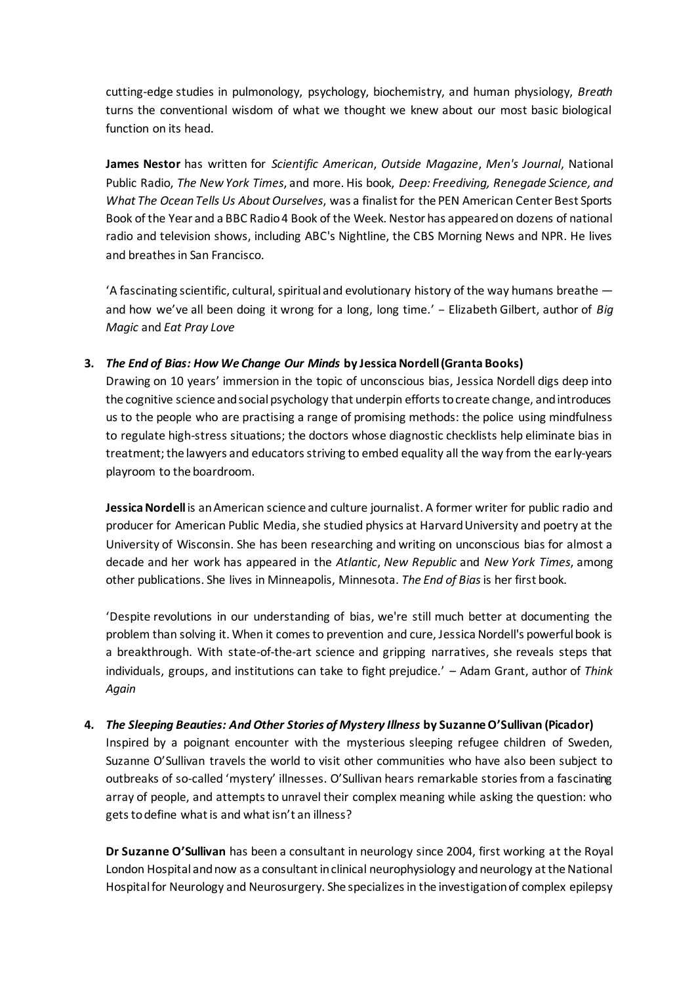cutting-edge studies in pulmonology, psychology, biochemistry, and human physiology, *Breath*  turns the conventional wisdom of what we thought we knew about our most basic biological function on its head.

**James Nestor** has written for *Scientific American*, *Outside Magazine*, *Men's Journal*, National Public Radio, *The New York Times*, and more. His book, *Deep: Freediving, Renegade Science, and What The Ocean Tells Us About Ourselves*, was a finalist for the PEN American Center Best Sports Book of the Year and a BBC Radio 4 Book of the Week. Nestor has appeared on dozens of national radio and television shows, including ABC's Nightline, the CBS Morning News and NPR. He lives and breathes in San Francisco.

'A fascinating scientific, cultural, spiritual and evolutionary history of the way humans breathe and how we've all been doing it wrong for a long, long time.' – Elizabeth Gilbert, author of *Big Magic* and *Eat Pray Love*

#### **3.** *The End of Bias: How We Change Our Minds* **by Jessica Nordell (Granta Books)**

Drawing on 10 years' immersion in the topic of unconscious bias, Jessica Nordell digs deep into the cognitive science and social psychology that underpin efforts to create change, and introduces us to the people who are practising a range of promising methods: the police using mindfulness to regulate high-stress situations; the doctors whose diagnostic checklists help eliminate bias in treatment; the lawyers and educators striving to embed equality all the way from the early-years playroom to the boardroom.

**Jessica Nordell** is an American science and culture journalist. A former writer for public radio and producer for American Public Media, she studied physics at Harvard University and poetry at the University of Wisconsin. She has been researching and writing on unconscious bias for almost a decade and her work has appeared in the *Atlantic*, *New Republic* and *New York Times*, among other publications. She lives in Minneapolis, Minnesota. *The End of Bias* is her first book.

'Despite revolutions in our understanding of bias, we're still much better at documenting the problem than solving it. When it comes to prevention and cure, Jessica Nordell's powerful book is a breakthrough. With state-of-the-art science and gripping narratives, she reveals steps that individuals, groups, and institutions can take to fight prejudice.' – Adam Grant, author of *Think Again*

#### **4.** *The Sleeping Beauties: And Other Stories of Mystery Illness* **by Suzanne O'Sullivan (Picador)**

Inspired by a poignant encounter with the mysterious sleeping refugee children of Sweden, Suzanne O'Sullivan travels the world to visit other communities who have also been subject to outbreaks of so-called 'mystery' illnesses. O'Sullivan hears remarkable stories from a fascinating array of people, and attempts to unravel their complex meaning while asking the question: who gets to define what is and what isn't an illness?

**Dr Suzanne O'Sullivan** has been a consultant in neurology since 2004, first working at the Royal London Hospital and now as a consultant in clinical neurophysiology and neurology at the National Hospital for Neurology and Neurosurgery. She specializes in the investigation of complex epilepsy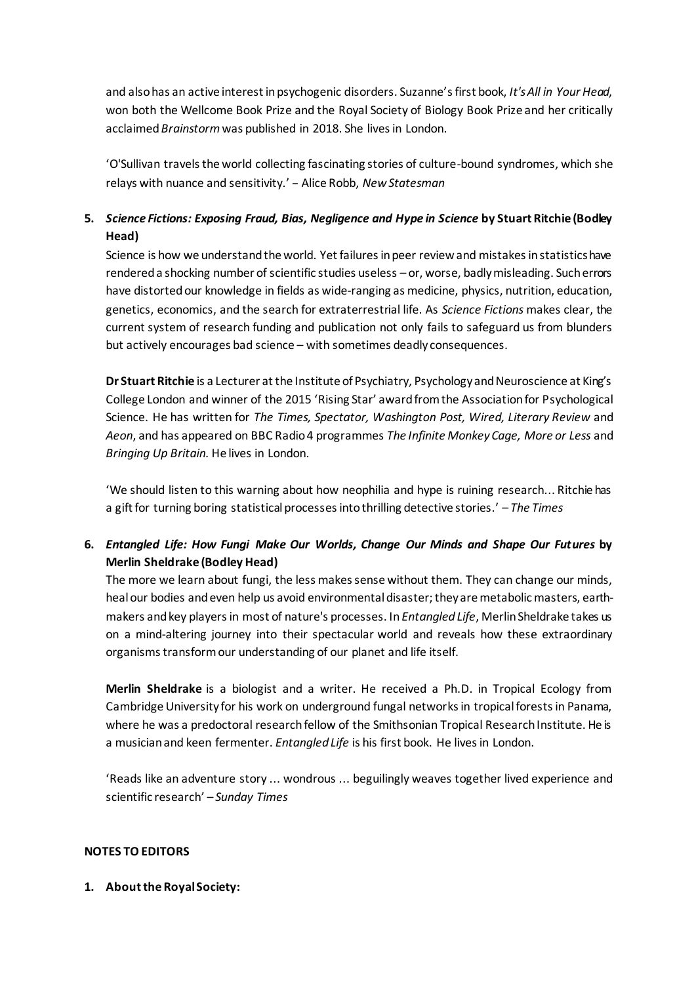and also has an active interest in psychogenic disorders. Suzanne's first book, *It's All in Your Head*, won both the Wellcome Book Prize and the Royal Society of Biology Book Prize and her critically acclaimed*Brainstorm*was published in 2018. She lives in London.

'O'Sullivan travels the world collecting fascinating stories of culture-bound syndromes, which she relays with nuance and sensitivity.' – Alice Robb, *New Statesman*

## **5.** *Science Fictions: Exposing Fraud, Bias, Negligence and Hype in Science* **by Stuart Ritchie (Bodley Head)**

Science is how we understand the world. Yet failures in peer review and mistakes in statistics have rendered a shocking number of scientific studies useless – or, worse, badly misleading. Such errors have distorted our knowledge in fields as wide-ranging as medicine, physics, nutrition, education, genetics, economics, and the search for extraterrestrial life. As *Science Fictions* makes clear, the current system of research funding and publication not only fails to safeguard us from blunders but actively encourages bad science – with sometimes deadly consequences.

**Dr Stuart Ritchie** is a Lecturer at the Institute of Psychiatry, Psychology and Neuroscience at King's College London and winner of the 2015 'Rising Star' award from the Association for Psychological Science. He has written for *The Times, Spectator, Washington Post, Wired, Literary Review* and *Aeon*, and has appeared on BBC Radio 4 programmes *The Infinite Monkey Cage, More or Less* and *Bringing Up Britain.* He lives in London.

'We should listen to this warning about how neophilia and hype is ruining research... Ritchie has a gift for turning boring statistical processes into thrilling detective stories.' – *The Times*

## **6.** *Entangled Life: How Fungi Make Our Worlds, Change Our Minds and Shape Our Futures* **by Merlin Sheldrake (Bodley Head)**

The more we learn about fungi, the less makes sense without them. They can change our minds, heal our bodies and even help us avoid environmental disaster; they are metabolic masters, earthmakers and key players in most of nature's processes. In *Entangled Life*, Merlin Sheldrake takes us on a mind-altering journey into their spectacular world and reveals how these extraordinary organisms transform our understanding of our planet and life itself.

**Merlin Sheldrake** is a biologist and a writer. He received a Ph.D. in Tropical Ecology from Cambridge University for his work on underground fungal networks in tropical forests in Panama, where he was a predoctoral research fellow of the Smithsonian Tropical Research Institute. He is a musician and keen fermenter. *Entangled Life* is his first book. He lives in London.

'Reads like an adventure story ... wondrous ... beguilingly weaves together lived experience and scientific research' – *Sunday Times*

#### **NOTES TO EDITORS**

**1. About the Royal Society:**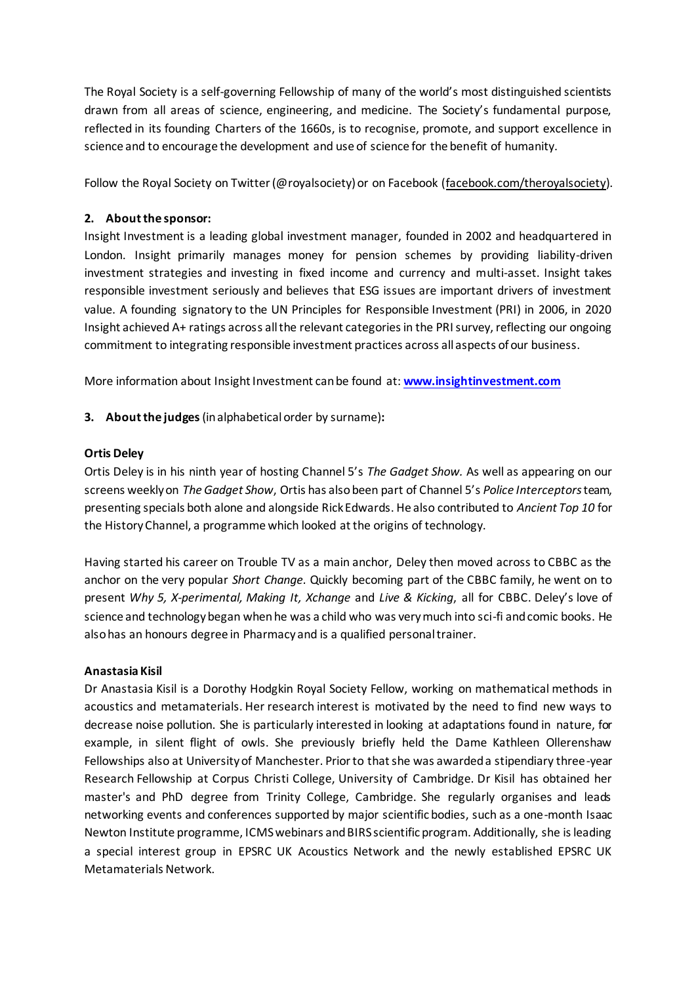The Royal Society is a self-governing Fellowship of many of the world's most distinguished scientists drawn from all areas of science, engineering, and medicine. The Society's fundamental purpose, reflected in its founding Charters of the 1660s, is to recognise, promote, and support excellence in science and to encourage the development and use of science for the benefit of humanity.

Follow the Royal Society on Twitter (@royalsociety) or on Facebook [\(facebook.com/theroyalsociety\)](https://www.facebook.com/theroyalsociety).

### **2. About the sponsor:**

Insight Investment is a leading global investment manager, founded in 2002 and headquartered in London. Insight primarily manages money for pension schemes by providing liability-driven investment strategies and investing in fixed income and currency and multi-asset. Insight takes responsible investment seriously and believes that ESG issues are important drivers of investment value. A founding signatory to the UN Principles for Responsible Investment (PRI) in 2006, in 2020 Insight achieved A+ ratings across all the relevant categories in the PRI survey, reflecting our ongoing commitment to integrating responsible investment practices across all aspects of our business.

More information about Insight Investment can be found at: **[www.insightinvestment.com](http://www.insightinvestment.com/)**

**3. About the judges** (in alphabetical order by surname)**:**

#### **Ortis Deley**

Ortis Deley is in his ninth year of hosting Channel 5's *The Gadget Show.* As well as appearing on our screens weekly on *The Gadget Show*, Ortis has also been part of Channel 5's *Police Interceptors*team, presenting specials both alone and alongside Rick Edwards. He also contributed to *Ancient Top 10* for the History Channel, a programme which looked at the origins of technology.

Having started his career on Trouble TV as a main anchor, Deley then moved across to CBBC as the anchor on the very popular *Short Change.* Quickly becoming part of the CBBC family, he went on to present *Why 5, X-perimental, Making It, Xchange* and *Live & Kicking*, all for CBBC. Deley's love of science and technology began when he was a child who was very much into sci-fi and comic books. He also has an honours degree in Pharmacy and is a qualified personal trainer.

#### **Anastasia Kisil**

Dr Anastasia Kisil is a Dorothy Hodgkin Royal Society Fellow, working on mathematical methods in acoustics and metamaterials. Her research interest is motivated by the need to find new ways to decrease noise pollution. She is particularly interested in looking at adaptations found in nature, for example, in silent flight of owls. She previously briefly held the Dame Kathleen Ollerenshaw Fellowships also at University of Manchester. Prior to that she was awarded a stipendiary three-year Research Fellowship at Corpus Christi College, University of Cambridge. Dr Kisil has obtained her master's and PhD degree from Trinity College, Cambridge. She regularly organises and leads networking events and conferences supported by major scientific bodies, such as a one-month Isaac Newton Institute programme, ICMS webinars and BIRS scientific program. Additionally, she is leading a special interest group in EPSRC UK Acoustics Network and the newly established EPSRC UK Metamaterials Network.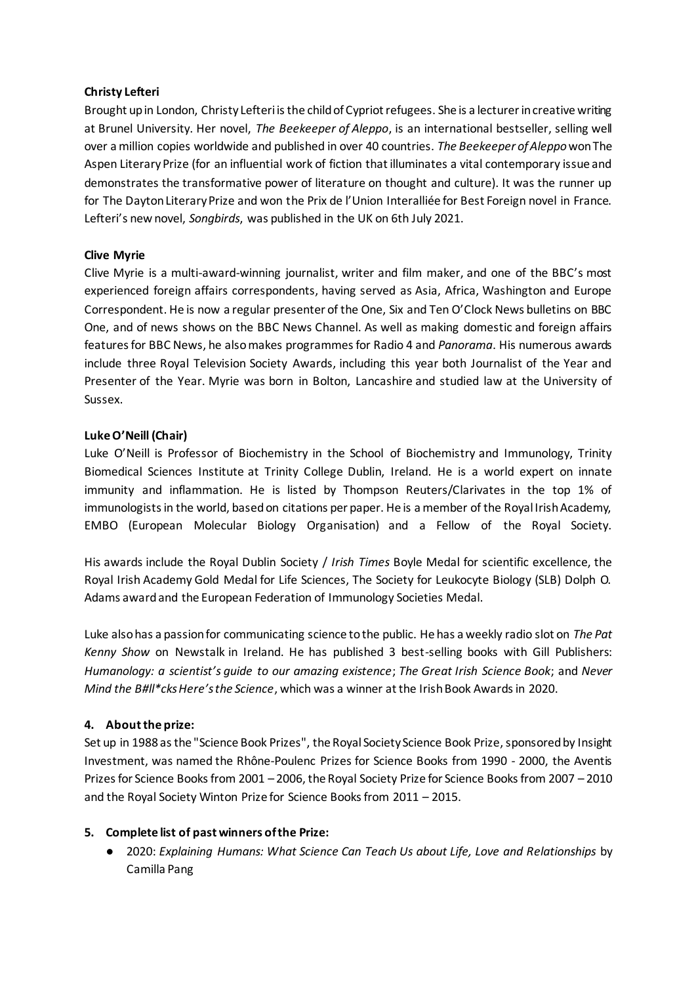#### **Christy Lefteri**

Brought up in London, Christy Lefteri is the child of Cypriot refugees. She is a lecturer in creative writing at Brunel University. Her novel, *The Beekeeper of Aleppo*, is an international bestseller, selling well over a million copies worldwide and published in over 40 countries. *The Beekeeper of Aleppo*won The Aspen Literary Prize (for an influential work of fiction that illuminates a vital contemporary issue and demonstrates the transformative power of literature on thought and culture). It was the runner up for The Dayton Literary Prize and won the Prix de l'Union Interalliée for Best Foreign novel in France. Lefteri's new novel, *Songbirds*, was published in the UK on 6th July 2021.

#### **Clive Myrie**

Clive Myrie is a multi-award-winning journalist, writer and film maker, and one of the BBC's most experienced foreign affairs correspondents, having served as Asia, Africa, Washington and Europe Correspondent. He is now a regular presenter of the One, Six and Ten O'Clock News bulletins on BBC One, and of news shows on the BBC News Channel. As well as making domestic and foreign affairs features for BBC News, he also makes programmes for Radio 4 and *Panorama*. His numerous awards include three Royal Television Society Awards, including this year both Journalist of the Year and Presenter of the Year. Myrie was born in Bolton, Lancashire and studied law at the University of Sussex.

#### **Luke O'Neill (Chair)**

Luke O'Neill is Professor of Biochemistry in the School of Biochemistry and Immunology, Trinity Biomedical Sciences Institute at Trinity College Dublin, Ireland. He is a world expert on innate immunity and inflammation. He is listed by Thompson Reuters/Clarivates in the top 1% of immunologists in the world, based on citations per paper. He is a member of the Royal Irish Academy, EMBO (European Molecular Biology Organisation) and a Fellow of the Royal Society.

His awards include the Royal Dublin Society / *Irish Times* Boyle Medal for scientific excellence, the Royal Irish Academy Gold Medal for Life Sciences, The Society for Leukocyte Biology (SLB) Dolph O. Adams award and the European Federation of Immunology Societies Medal.

Luke also has a passion for communicating science to the public. He has a weekly radio slot on *The Pat Kenny Show* on Newstalk in Ireland. He has published 3 best-selling books with Gill Publishers: *Humanology: a scientist's guide to our amazing existence*; *The Great Irish Science Book*; and *Never Mind the B#ll\*cks Here's the Science*, which was a winner at the Irish Book Awards in 2020.

#### **4. About the prize:**

Set up in 1988 as the "Science Book Prizes", the Royal Society Science Book Prize, sponsored by Insight Investment, was named the Rhône-Poulenc Prizes for Science Books from 1990 - 2000, the Aventis Prizes for Science Books from 2001 – 2006, the Royal Society Prize for Science Books from 2007 – 2010 and the Royal Society Winton Prize for Science Books from 2011 – 2015.

#### **5. Complete list of past winners of the Prize:**

● 2020: *Explaining Humans: What Science Can Teach Us about Life, Love and Relationships* by Camilla Pang